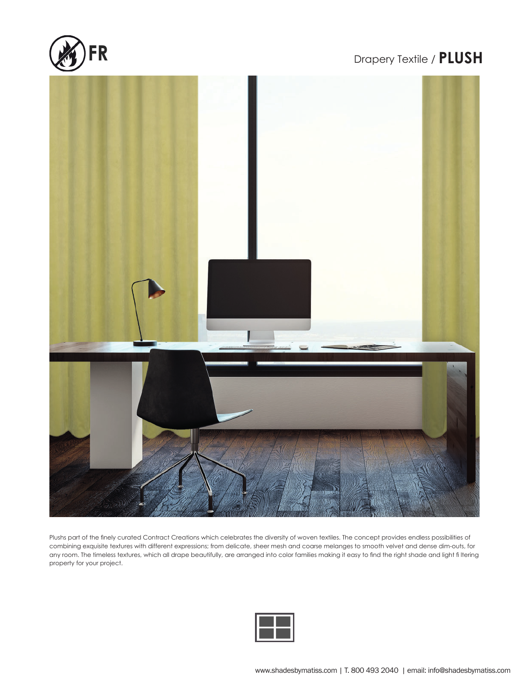

## Drapery Textile / **PLUSH**



*Velvet is part of the fi nely curated Texture Concept which celebrates the diversity of woven textiles. The*  property for your project. Plushs part of the finely curated Contract Creations which celebrates the diversity of woven textiles. The concept provides endless possibilities of combining exquisite textures with different expressions; from delicate, sheer mesh and coarse melanges to smooth velvet and dense dim-outs, for any room. The timeless textures, which all drape beautifully, are arranged into color families making it easy to find the right shade and light fi ltering